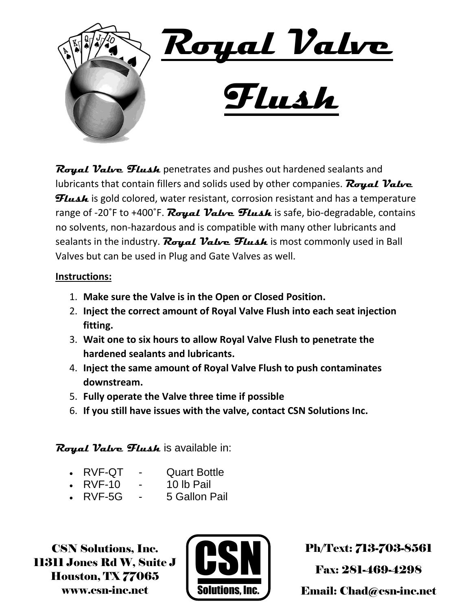

**Royal Valve Flush** penetrates and pushes out hardened sealants and lubricants that contain fillers and solids used by other companies. **Royal Valve Flush** is gold colored, water resistant, corrosion resistant and has a temperature range of -20°F to +400°F. **Royal Valve Flush** is safe, bio-degradable, contains no solvents, non-hazardous and is compatible with many other lubricants and sealants in the industry. **Royal Valve Flush** is most commonly used in Ball Valves but can be used in Plug and Gate Valves as well.

## **Instructions:**

- 1. **Make sure the Valve is in the Open or Closed Position.**
- 2. **Inject the correct amount of Royal Valve Flush into each seat injection fitting.**
- 3. **Wait one to six hours to allow Royal Valve Flush to penetrate the hardened sealants and lubricants.**
- 4. **Inject the same amount of Royal Valve Flush to push contaminates downstream.**
- 5. **Fully operate the Valve three time if possible**
- 6. **If you still have issues with the valve, contact CSN Solutions Inc.**

## **Royal Valve Flush** is available in:

- RVF-QT Quart Bottle
- RVF-10 10 lb Pail
- RVF-5G 5 Gallon Pail

CSN Solutions, Inc. 11311 Jones Rd W, Suite J Houston, TX 77065 www.csn-inc.net



Ph/Text: 713-703-8561

Fax: 281-469-4298

Email: Chad@csn-inc.net